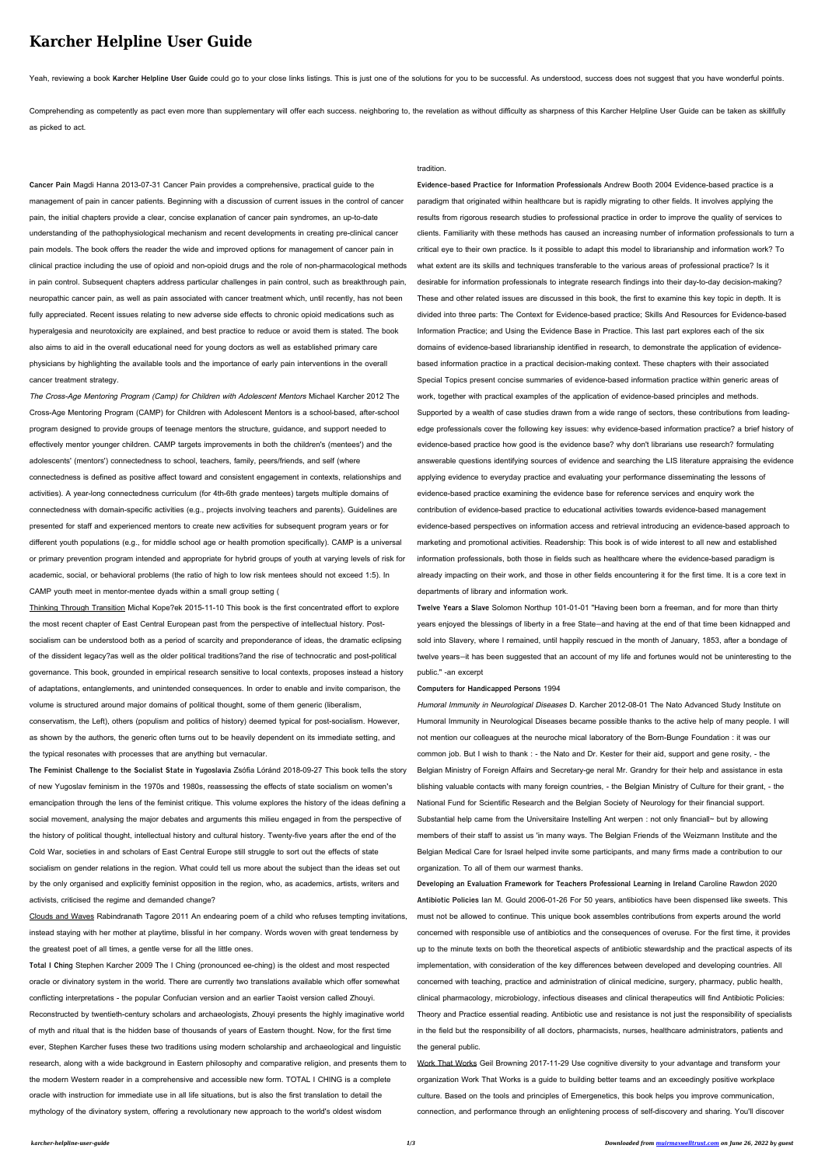# **Karcher Helpline User Guide**

Yeah, reviewing a book Karcher Helpline User Guide could go to your close links listings. This is just one of the solutions for you to be successful. As understood, success does not suggest that you have wonderful points.

Comprehending as competently as pact even more than supplementary will offer each success. neighboring to, the revelation as without difficulty as sharpness of this Karcher Helpline User Guide can be taken as skillfully as picked to act.

## **Cancer Pain** Magdi Hanna 2013-07-31 Cancer Pain provides a comprehensive, practical guide to the management of pain in cancer patients. Beginning with a discussion of current issues in the control of cancer pain, the initial chapters provide a clear, concise explanation of cancer pain syndromes, an up-to-date understanding of the pathophysiological mechanism and recent developments in creating pre-clinical cancer pain models. The book offers the reader the wide and improved options for management of cancer pain in clinical practice including the use of opioid and non-opioid drugs and the role of non-pharmacological methods in pain control. Subsequent chapters address particular challenges in pain control, such as breakthrough pain, neuropathic cancer pain, as well as pain associated with cancer treatment which, until recently, has not been fully appreciated. Recent issues relating to new adverse side effects to chronic opioid medications such as hyperalgesia and neurotoxicity are explained, and best practice to reduce or avoid them is stated. The book also aims to aid in the overall educational need for young doctors as well as established primary care physicians by highlighting the available tools and the importance of early pain interventions in the overall cancer treatment strategy.

The Cross-Age Mentoring Program (Camp) for Children with Adolescent Mentors Michael Karcher 2012 The Cross-Age Mentoring Program (CAMP) for Children with Adolescent Mentors is a school-based, after-school program designed to provide groups of teenage mentors the structure, guidance, and support needed to effectively mentor younger children. CAMP targets improvements in both the children's (mentees') and the adolescents' (mentors') connectedness to school, teachers, family, peers/friends, and self (where connectedness is defined as positive affect toward and consistent engagement in contexts, relationships and activities). A year-long connectedness curriculum (for 4th-6th grade mentees) targets multiple domains of connectedness with domain-specific activities (e.g., projects involving teachers and parents). Guidelines are presented for staff and experienced mentors to create new activities for subsequent program years or for different youth populations (e.g., for middle school age or health promotion specifically). CAMP is a universal or primary prevention program intended and appropriate for hybrid groups of youth at varying levels of risk for academic, social, or behavioral problems (the ratio of high to low risk mentees should not exceed 1:5). In CAMP youth meet in mentor-mentee dyads within a small group setting (

Thinking Through Transition Michal Kope?ek 2015-11-10 This book is the first concentrated effort to explore the most recent chapter of East Central European past from the perspective of intellectual history. Postsocialism can be understood both as a period of scarcity and preponderance of ideas, the dramatic eclipsing of the dissident legacy?as well as the older political traditions?and the rise of technocratic and post-political governance. This book, grounded in empirical research sensitive to local contexts, proposes instead a history of adaptations, entanglements, and unintended consequences. In order to enable and invite comparison, the volume is structured around major domains of political thought, some of them generic (liberalism, conservatism, the Left), others (populism and politics of history) deemed typical for post-socialism. However, as shown by the authors, the generic often turns out to be heavily dependent on its immediate setting, and the typical resonates with processes that are anything but vernacular.

**The Feminist Challenge to the Socialist State in Yugoslavia** Zsófia Lóránd 2018-09-27 This book tells the story of new Yugoslav feminism in the 1970s and 1980s, reassessing the effects of state socialism on women's emancipation through the lens of the feminist critique. This volume explores the history of the ideas defining a social movement, analysing the major debates and arguments this milieu engaged in from the perspective of the history of political thought, intellectual history and cultural history. Twenty-five years after the end of the Cold War, societies in and scholars of East Central Europe still struggle to sort out the effects of state socialism on gender relations in the region. What could tell us more about the subject than the ideas set out by the only organised and explicitly feminist opposition in the region, who, as academics, artists, writers and activists, criticised the regime and demanded change?

Clouds and Waves Rabindranath Tagore 2011 An endearing poem of a child who refuses tempting invitations, instead staying with her mother at playtime, blissful in her company. Words woven with great tenderness by the greatest poet of all times, a gentle verse for all the little ones.

Humoral Immunity in Neurological Diseases D. Karcher 2012-08-01 The Nato Advanced Study Institute on Humoral Immunity in Neurological Diseases became possible thanks to the active help of many people. I will not mention our colleagues at the neuroche mical laboratory of the Born-Bunge Foundation : it was our common job. But I wish to thank : - the Nato and Dr. Kester for their aid, support and gene rosity, - the Belgian Ministry of Foreign Affairs and Secretary-ge neral Mr. Grandry for their help and assistance in esta blishing valuable contacts with many foreign countries, - the Belgian Ministry of Culture for their grant, - the National Fund for Scientific Research and the Belgian Society of Neurology for their financial support. Substantial help came from the Universitaire Instelling Ant werpen : not only financiall~ but by allowing members of their staff to assist us 'in many ways. The Belgian Friends of the Weizmann Institute and the Belgian Medical Care for Israel helped invite some participants, and many firms made a contribution to our organization. To all of them our warmest thanks.

**Total I Ching** Stephen Karcher 2009 The I Ching (pronounced ee-ching) is the oldest and most respected oracle or divinatory system in the world. There are currently two translations available which offer somewhat conflicting interpretations - the popular Confucian version and an earlier Taoist version called Zhouyi. Reconstructed by twentieth-century scholars and archaeologists, Zhouyi presents the highly imaginative world of myth and ritual that is the hidden base of thousands of years of Eastern thought. Now, for the first time ever, Stephen Karcher fuses these two traditions using modern scholarship and archaeological and linguistic research, along with a wide background in Eastern philosophy and comparative religion, and presents them to the modern Western reader in a comprehensive and accessible new form. TOTAL I CHING is a complete oracle with instruction for immediate use in all life situations, but is also the first translation to detail the mythology of the divinatory system, offering a revolutionary new approach to the world's oldest wisdom

## tradition.

**Evidence-based Practice for Information Professionals** Andrew Booth 2004 Evidence-based practice is a paradigm that originated within healthcare but is rapidly migrating to other fields. It involves applying the results from rigorous research studies to professional practice in order to improve the quality of services to clients. Familiarity with these methods has caused an increasing number of information professionals to turn a critical eye to their own practice. Is it possible to adapt this model to librarianship and information work? To what extent are its skills and techniques transferable to the various areas of professional practice? Is it desirable for information professionals to integrate research findings into their day-to-day decision-making? These and other related issues are discussed in this book, the first to examine this key topic in depth. It is divided into three parts: The Context for Evidence-based practice; Skills And Resources for Evidence-based Information Practice; and Using the Evidence Base in Practice. This last part explores each of the six domains of evidence-based librarianship identified in research, to demonstrate the application of evidencebased information practice in a practical decision-making context. These chapters with their associated Special Topics present concise summaries of evidence-based information practice within generic areas of work, together with practical examples of the application of evidence-based principles and methods. Supported by a wealth of case studies drawn from a wide range of sectors, these contributions from leadingedge professionals cover the following key issues: why evidence-based information practice? a brief history of evidence-based practice how good is the evidence base? why don't librarians use research? formulating answerable questions identifying sources of evidence and searching the LIS literature appraising the evidence applying evidence to everyday practice and evaluating your performance disseminating the lessons of evidence-based practice examining the evidence base for reference services and enquiry work the contribution of evidence-based practice to educational activities towards evidence-based management evidence-based perspectives on information access and retrieval introducing an evidence-based approach to marketing and promotional activities. Readership: This book is of wide interest to all new and established information professionals, both those in fields such as healthcare where the evidence-based paradigm is already impacting on their work, and those in other fields encountering it for the first time. It is a core text in departments of library and information work.

**Twelve Years a Slave** Solomon Northup 101-01-01 "Having been born a freeman, and for more than thirty

years enjoyed the blessings of liberty in a free State—and having at the end of that time been kidnapped and sold into Slavery, where I remained, until happily rescued in the month of January, 1853, after a bondage of twelve years—it has been suggested that an account of my life and fortunes would not be uninteresting to the public." -an excerpt

#### **Computers for Handicapped Persons** 1994

**Developing an Evaluation Framework for Teachers Professional Learning in Ireland** Caroline Rawdon 2020 **Antibiotic Policies** Ian M. Gould 2006-01-26 For 50 years, antibiotics have been dispensed like sweets. This must not be allowed to continue. This unique book assembles contributions from experts around the world concerned with responsible use of antibiotics and the consequences of overuse. For the first time, it provides up to the minute texts on both the theoretical aspects of antibiotic stewardship and the practical aspects of its implementation, with consideration of the key differences between developed and developing countries. All concerned with teaching, practice and administration of clinical medicine, surgery, pharmacy, public health, clinical pharmacology, microbiology, infectious diseases and clinical therapeutics will find Antibiotic Policies: Theory and Practice essential reading. Antibiotic use and resistance is not just the responsibility of specialists in the field but the responsibility of all doctors, pharmacists, nurses, healthcare administrators, patients and the general public.

Work That Works Geil Browning 2017-11-29 Use cognitive diversity to your advantage and transform your organization Work That Works is a guide to building better teams and an exceedingly positive workplace culture. Based on the tools and principles of Emergenetics, this book helps you improve communication, connection, and performance through an enlightening process of self-discovery and sharing. You'll discover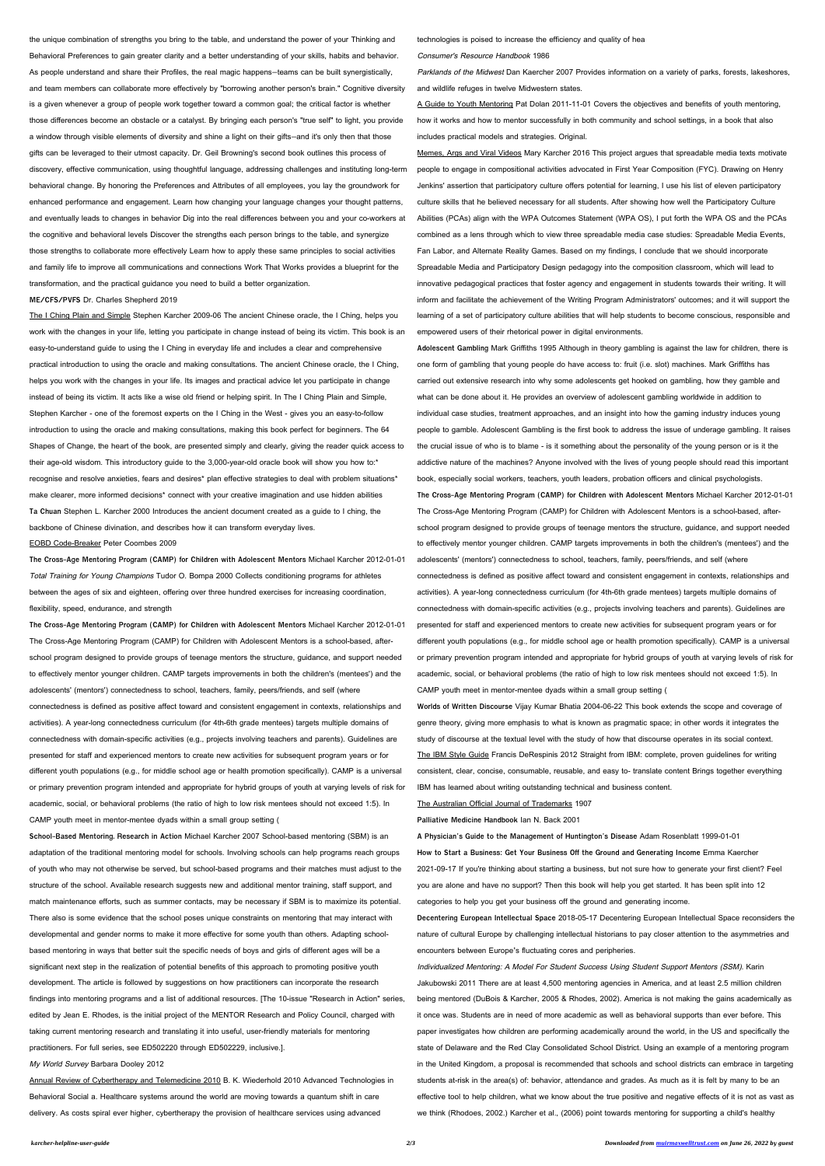the unique combination of strengths you bring to the table, and understand the power of your Thinking and Behavioral Preferences to gain greater clarity and a better understanding of your skills, habits and behavior. As people understand and share their Profiles, the real magic happens—teams can be built synergistically, and team members can collaborate more effectively by "borrowing another person's brain." Cognitive diversity is a given whenever a group of people work together toward a common goal; the critical factor is whether those differences become an obstacle or a catalyst. By bringing each person's "true self" to light, you provide a window through visible elements of diversity and shine a light on their gifts—and it's only then that those gifts can be leveraged to their utmost capacity. Dr. Geil Browning's second book outlines this process of discovery, effective communication, using thoughtful language, addressing challenges and instituting long-term behavioral change. By honoring the Preferences and Attributes of all employees, you lay the groundwork for enhanced performance and engagement. Learn how changing your language changes your thought patterns, and eventually leads to changes in behavior Dig into the real differences between you and your co-workers at the cognitive and behavioral levels Discover the strengths each person brings to the table, and synergize those strengths to collaborate more effectively Learn how to apply these same principles to social activities and family life to improve all communications and connections Work That Works provides a blueprint for the transformation, and the practical guidance you need to build a better organization.

#### **ME/CFS/PVFS** Dr. Charles Shepherd 2019

The I Ching Plain and Simple Stephen Karcher 2009-06 The ancient Chinese oracle, the I Ching, helps you work with the changes in your life, letting you participate in change instead of being its victim. This book is an easy-to-understand guide to using the I Ching in everyday life and includes a clear and comprehensive practical introduction to using the oracle and making consultations. The ancient Chinese oracle, the I Ching, helps you work with the changes in your life. Its images and practical advice let you participate in change instead of being its victim. It acts like a wise old friend or helping spirit. In The I Ching Plain and Simple, Stephen Karcher - one of the foremost experts on the I Ching in the West - gives you an easy-to-follow introduction to using the oracle and making consultations, making this book perfect for beginners. The 64 Shapes of Change, the heart of the book, are presented simply and clearly, giving the reader quick access to their age-old wisdom. This introductory guide to the 3,000-year-old oracle book will show you how to:\* recognise and resolve anxieties, fears and desires\* plan effective strategies to deal with problem situations\* make clearer, more informed decisions\* connect with your creative imagination and use hidden abilities **Ta Chuan** Stephen L. Karcher 2000 Introduces the ancient document created as a guide to I ching, the backbone of Chinese divination, and describes how it can transform everyday lives.

## EOBD Code-Breaker Peter Coombes 2009

**The Cross-Age Mentoring Program (CAMP) for Children with Adolescent Mentors** Michael Karcher 2012-01-01 Total Training for Young Champions Tudor O. Bompa 2000 Collects conditioning programs for athletes between the ages of six and eighteen, offering over three hundred exercises for increasing coordination, flexibility, speed, endurance, and strength

Parklands of the Midwest Dan Kaercher 2007 Provides information on a variety of parks, forests, lakeshores, and wildlife refuges in twelve Midwestern states.

**The Cross-Age Mentoring Program (CAMP) for Children with Adolescent Mentors** Michael Karcher 2012-01-01 The Cross-Age Mentoring Program (CAMP) for Children with Adolescent Mentors is a school-based, afterschool program designed to provide groups of teenage mentors the structure, guidance, and support needed to effectively mentor younger children. CAMP targets improvements in both the children's (mentees') and the adolescents' (mentors') connectedness to school, teachers, family, peers/friends, and self (where connectedness is defined as positive affect toward and consistent engagement in contexts, relationships and activities). A year-long connectedness curriculum (for 4th-6th grade mentees) targets multiple domains of connectedness with domain-specific activities (e.g., projects involving teachers and parents). Guidelines are presented for staff and experienced mentors to create new activities for subsequent program years or for different youth populations (e.g., for middle school age or health promotion specifically). CAMP is a universal or primary prevention program intended and appropriate for hybrid groups of youth at varying levels of risk for academic, social, or behavioral problems (the ratio of high to low risk mentees should not exceed 1:5). In CAMP youth meet in mentor-mentee dyads within a small group setting (

**School-Based Mentoring. Research in Action** Michael Karcher 2007 School-based mentoring (SBM) is an adaptation of the traditional mentoring model for schools. Involving schools can help programs reach groups of youth who may not otherwise be served, but school-based programs and their matches must adjust to the structure of the school. Available research suggests new and additional mentor training, staff support, and match maintenance efforts, such as summer contacts, may be necessary if SBM is to maximize its potential. There also is some evidence that the school poses unique constraints on mentoring that may interact with developmental and gender norms to make it more effective for some youth than others. Adapting schoolbased mentoring in ways that better suit the specific needs of boys and girls of different ages will be a significant next step in the realization of potential benefits of this approach to promoting positive youth development. The article is followed by suggestions on how practitioners can incorporate the research findings into mentoring programs and a list of additional resources. [The 10-issue "Research in Action" series, edited by Jean E. Rhodes, is the initial project of the MENTOR Research and Policy Council, charged with taking current mentoring research and translating it into useful, user-friendly materials for mentoring practitioners. For full series, see ED502220 through ED502229, inclusive.].

My World Survey Barbara Dooley 2012

Annual Review of Cybertherapy and Telemedicine 2010 B. K. Wiederhold 2010 Advanced Technologies in Behavioral Social a. Healthcare systems around the world are moving towards a quantum shift in care delivery. As costs spiral ever higher, cybertherapy the provision of healthcare services using advanced

technologies is poised to increase the efficiency and quality of hea

Consumer's Resource Handbook 1986

A Guide to Youth Mentoring Pat Dolan 2011-11-01 Covers the objectives and benefits of youth mentoring, how it works and how to mentor successfully in both community and school settings, in a book that also includes practical models and strategies. Original.

Memes, Args and Viral Videos Mary Karcher 2016 This project argues that spreadable media texts motivate people to engage in compositional activities advocated in First Year Composition (FYC). Drawing on Henry Jenkins' assertion that participatory culture offers potential for learning, I use his list of eleven participatory culture skills that he believed necessary for all students. After showing how well the Participatory Culture Abilities (PCAs) align with the WPA Outcomes Statement (WPA OS), I put forth the WPA OS and the PCAs combined as a lens through which to view three spreadable media case studies: Spreadable Media Events, Fan Labor, and Alternate Reality Games. Based on my findings, I conclude that we should incorporate Spreadable Media and Participatory Design pedagogy into the composition classroom, which will lead to innovative pedagogical practices that foster agency and engagement in students towards their writing. It will inform and facilitate the achievement of the Writing Program Administrators' outcomes; and it will support the learning of a set of participatory culture abilities that will help students to become conscious, responsible and empowered users of their rhetorical power in digital environments.

**Adolescent Gambling** Mark Griffiths 1995 Although in theory gambling is against the law for children, there is one form of gambling that young people do have access to: fruit (i.e. slot) machines. Mark Griffiths has carried out extensive research into why some adolescents get hooked on gambling, how they gamble and what can be done about it. He provides an overview of adolescent gambling worldwide in addition to individual case studies, treatment approaches, and an insight into how the gaming industry induces young people to gamble. Adolescent Gambling is the first book to address the issue of underage gambling. It raises the crucial issue of who is to blame - is it something about the personality of the young person or is it the addictive nature of the machines? Anyone involved with the lives of young people should read this important book, especially social workers, teachers, youth leaders, probation officers and clinical psychologists. **The Cross-Age Mentoring Program (CAMP) for Children with Adolescent Mentors** Michael Karcher 2012-01-01 The Cross-Age Mentoring Program (CAMP) for Children with Adolescent Mentors is a school-based, afterschool program designed to provide groups of teenage mentors the structure, guidance, and support needed to effectively mentor younger children. CAMP targets improvements in both the children's (mentees') and the adolescents' (mentors') connectedness to school, teachers, family, peers/friends, and self (where connectedness is defined as positive affect toward and consistent engagement in contexts, relationships and activities). A year-long connectedness curriculum (for 4th-6th grade mentees) targets multiple domains of connectedness with domain-specific activities (e.g., projects involving teachers and parents). Guidelines are

presented for staff and experienced mentors to create new activities for subsequent program years or for different youth populations (e.g., for middle school age or health promotion specifically). CAMP is a universal or primary prevention program intended and appropriate for hybrid groups of youth at varying levels of risk for academic, social, or behavioral problems (the ratio of high to low risk mentees should not exceed 1:5). In CAMP youth meet in mentor-mentee dyads within a small group setting (

**Worlds of Written Discourse** Vijay Kumar Bhatia 2004-06-22 This book extends the scope and coverage of genre theory, giving more emphasis to what is known as pragmatic space; in other words it integrates the study of discourse at the textual level with the study of how that discourse operates in its social context. The IBM Style Guide Francis DeRespinis 2012 Straight from IBM: complete, proven guidelines for writing consistent, clear, concise, consumable, reusable, and easy to- translate content Brings together everything IBM has learned about writing outstanding technical and business content.

#### The Australian Official Journal of Trademarks 1907

### **Palliative Medicine Handbook** Ian N. Back 2001

**A Physician's Guide to the Management of Huntington's Disease** Adam Rosenblatt 1999-01-01 **How to Start a Business: Get Your Business Off the Ground and Generating Income** Emma Kaercher 2021-09-17 If you're thinking about starting a business, but not sure how to generate your first client? Feel you are alone and have no support? Then this book will help you get started. It has been split into 12 categories to help you get your business off the ground and generating income.

**Decentering European Intellectual Space** 2018-05-17 Decentering European Intellectual Space reconsiders the nature of cultural Europe by challenging intellectual historians to pay closer attention to the asymmetries and encounters between Europe's fluctuating cores and peripheries.

Individualized Mentoring: A Model For Student Success Using Student Support Mentors (SSM). Karin Jakubowski 2011 There are at least 4,500 mentoring agencies in America, and at least 2.5 million children being mentored (DuBois & Karcher, 2005 & Rhodes, 2002). America is not making the gains academically as it once was. Students are in need of more academic as well as behavioral supports than ever before. This paper investigates how children are performing academically around the world, in the US and specifically the state of Delaware and the Red Clay Consolidated School District. Using an example of a mentoring program in the United Kingdom, a proposal is recommended that schools and school districts can embrace in targeting students at-risk in the area(s) of: behavior, attendance and grades. As much as it is felt by many to be an effective tool to help children, what we know about the true positive and negative effects of it is not as vast as we think (Rhodoes, 2002.) Karcher et al., (2006) point towards mentoring for supporting a child's healthy